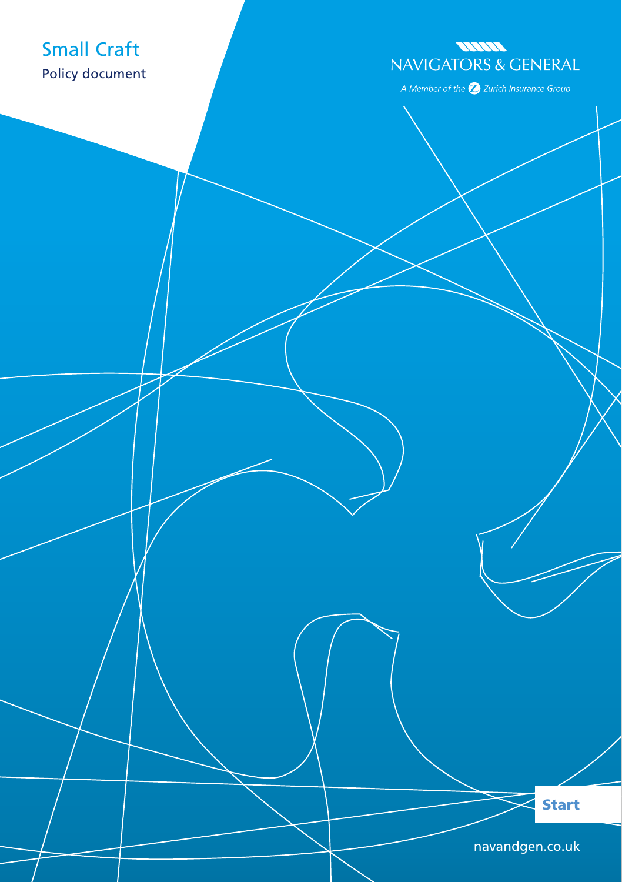## Small Craft Policy document

## **MINE NAVIGATORS & GENERAL**

A Member of the  $\bigotimes$  Zurich Insurance Group

Start

[navandgen.co.uk](http://www.navandgen.co.uk)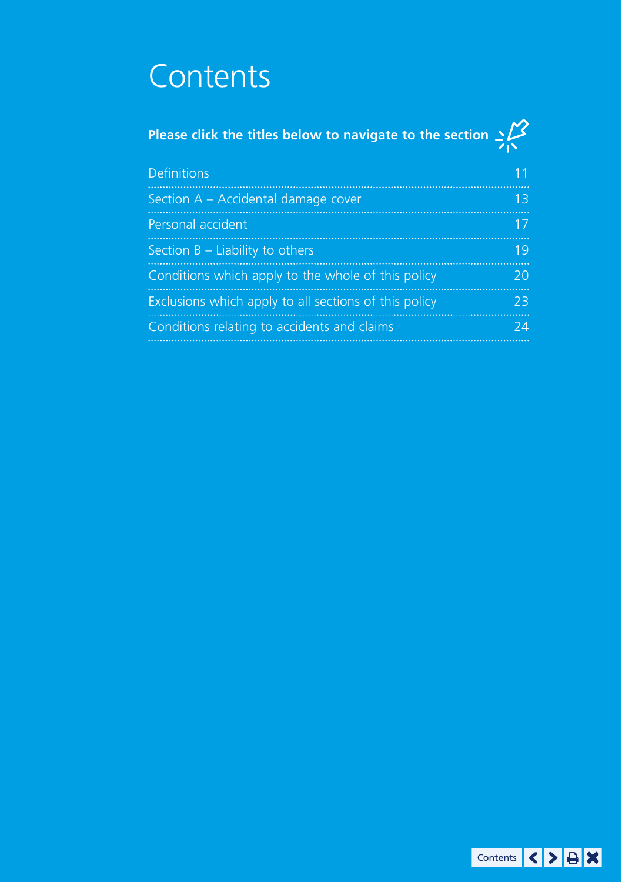## **Contents**

# **Please click the titles below to navigate to the section**

| <b>Definitions</b>                                    |    |
|-------------------------------------------------------|----|
| Section A - Accidental damage cover                   | 13 |
| Personal accident                                     |    |
| Section $B -$ Liability to others                     | 19 |
| Conditions which apply to the whole of this policy    | 20 |
| Exclusions which apply to all sections of this policy | 73 |
| Conditions relating to accidents and claims           | DА |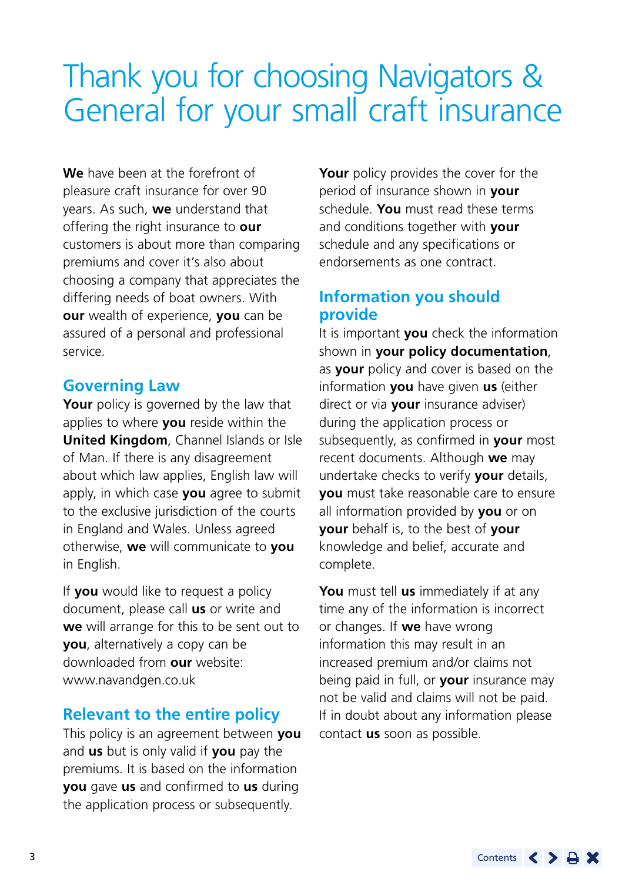## Thank you for choosing Navigators & General for your small craft insurance

**We** have been at the forefront of pleasure craft insurance for over 90 years. As such, **we** understand that offering the right insurance to **our** customers is about more than comparing premiums and cover it's also about choosing a company that appreciates the differing needs of boat owners. With **our** wealth of experience, **you** can be assured of a personal and professional service.

### **Governing Law**

Your policy is governed by the law that applies to where **you** reside within the **United Kingdom**, Channel Islands or Isle of Man. If there is any disagreement about which law applies, English law will apply, in which case **you** agree to submit to the exclusive jurisdiction of the courts in England and Wales. Unless agreed otherwise, **we** will communicate to **you** in English.

If **you** would like to request a policy document, please call **us** or write and **we** will arrange for this to be sent out to **you**, alternatively a copy can be downloaded from **our** website: [www.navandgen.co.uk](http://www.navandgen.co.uk)

## **Relevant to the entire policy**

This policy is an agreement between **you** and **us** but is only valid if **you** pay the premiums. It is based on the information **you** gave **us** and confirmed to **us** during the application process or subsequently.

**Your** policy provides the cover for the period of insurance shown in **your** schedule. **You** must read these terms and conditions together with **your** schedule and any specifications or endorsements as one contract.

### **Information you should provide**

It is important **you** check the information shown in **your policy documentation**, as **your** policy and cover is based on the information **you** have given **us** (either direct or via **your** insurance adviser) during the application process or subsequently, as confirmed in **your** most recent documents. Although **we** may undertake checks to verify **your** details, **you** must take reasonable care to ensure all information provided by **you** or on **your** behalf is, to the best of **your** knowledge and belief, accurate and complete.

**You** must tell **us** immediately if at any time any of the information is incorrect or changes. If **we** have wrong information this may result in an increased premium and/or claims not being paid in full, or **your** insurance may not be valid and claims will not be paid. If in doubt about any information please contact **us** soon as possible.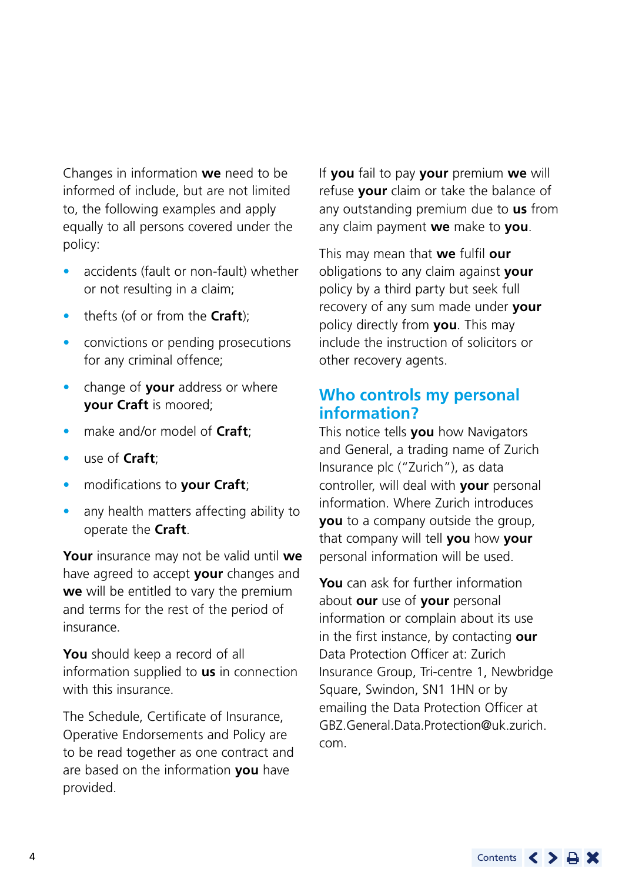Changes in information **we** need to be informed of include, but are not limited to, the following examples and apply equally to all persons covered under the policy:

- accidents (fault or non-fault) whether or not resulting in a claim;
- thefts (of or from the **Craft**);
- convictions or pending prosecutions for any criminal offence;
- change of **your** address or where **your Craft** is moored;
- make and/or model of **Craft**;
- use of **Craft**;
- modifications to **your Craft**;
- any health matters affecting ability to operate the **Craft**.

**Your** insurance may not be valid until **we** have agreed to accept **your** changes and **we** will be entitled to vary the premium and terms for the rest of the period of insurance.

**You** should keep a record of all information supplied to **us** in connection with this insurance.

The Schedule, Certificate of Insurance, Operative Endorsements and Policy are to be read together as one contract and are based on the information **you** have provided.

If **you** fail to pay **your** premium **we** will refuse **your** claim or take the balance of any outstanding premium due to **us** from any claim payment **we** make to **you**.

This may mean that **we** fulfil **our** obligations to any claim against **your** policy by a third party but seek full recovery of any sum made under **your** policy directly from **you**. This may include the instruction of solicitors or other recovery agents.

### **Who controls my personal information?**

This notice tells **you** how Navigators and General, a trading name of Zurich Insurance plc ("Zurich"), as data controller, will deal with **your** personal information. Where Zurich introduces **you** to a company outside the group, that company will tell **you** how **your** personal information will be used.

**You** can ask for further information about **our** use of **your** personal information or complain about its use in the first instance, by contacting **our** Data Protection Officer at: Zurich Insurance Group, Tri-centre 1, Newbridge Square, Swindon, SN1 1HN or by emailing the Data Protection Officer at [GBZ.General.Data.Protection@uk.zurich.](mailto:GBZ.General.Data.Protection@uk.zurich.com) [com.](mailto:GBZ.General.Data.Protection@uk.zurich.com)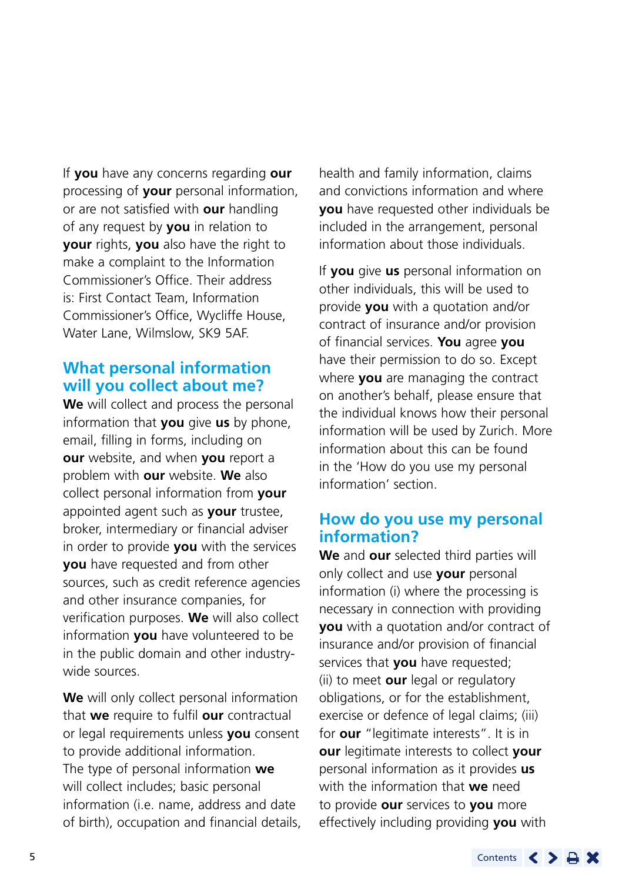If **you** have any concerns regarding **our** processing of **your** personal information, or are not satisfied with **our** handling of any request by **you** in relation to **your** rights, **you** also have the right to make a complaint to the Information Commissioner's Office. Their address is: First Contact Team, Information Commissioner's Office, Wycliffe House, Water Lane, Wilmslow, SK9 5AF.

#### **What personal information will you collect about me?**

**We** will collect and process the personal information that **you** give **us** by phone, email, filling in forms, including on **our** website, and when **you** report a problem with **our** website. **We** also collect personal information from **your** appointed agent such as **your** trustee, broker, intermediary or financial adviser in order to provide **you** with the services **you** have requested and from other sources, such as credit reference agencies and other insurance companies, for verification purposes. **We** will also collect information **you** have volunteered to be in the public domain and other industrywide sources.

**We** will only collect personal information that **we** require to fulfil **our** contractual or legal requirements unless **you** consent to provide additional information. The type of personal information **we** will collect includes; basic personal information (i.e. name, address and date of birth), occupation and financial details, health and family information, claims and convictions information and where **you** have requested other individuals be included in the arrangement, personal information about those individuals.

If **you** give **us** personal information on other individuals, this will be used to provide **you** with a quotation and/or contract of insurance and/or provision of financial services. **You** agree **you** have their permission to do so. Except where **you** are managing the contract on another's behalf, please ensure that the individual knows how their personal information will be used by Zurich. More information about this can be found in the 'How do you use my personal information' section.

#### **How do you use my personal information?**

**We** and **our** selected third parties will only collect and use **your** personal information (i) where the processing is necessary in connection with providing **you** with a quotation and/or contract of insurance and/or provision of financial services that **you** have requested; (ii) to meet **our** legal or regulatory obligations, or for the establishment, exercise or defence of legal claims; (iii) for **our** "legitimate interests". It is in **our** legitimate interests to collect **your** personal information as it provides **us** with the information that **we** need to provide **our** services to **you** more effectively including providing **you** with

Contents  $\langle \rangle$   $\rightarrow$   $\rightarrow$   $\rangle$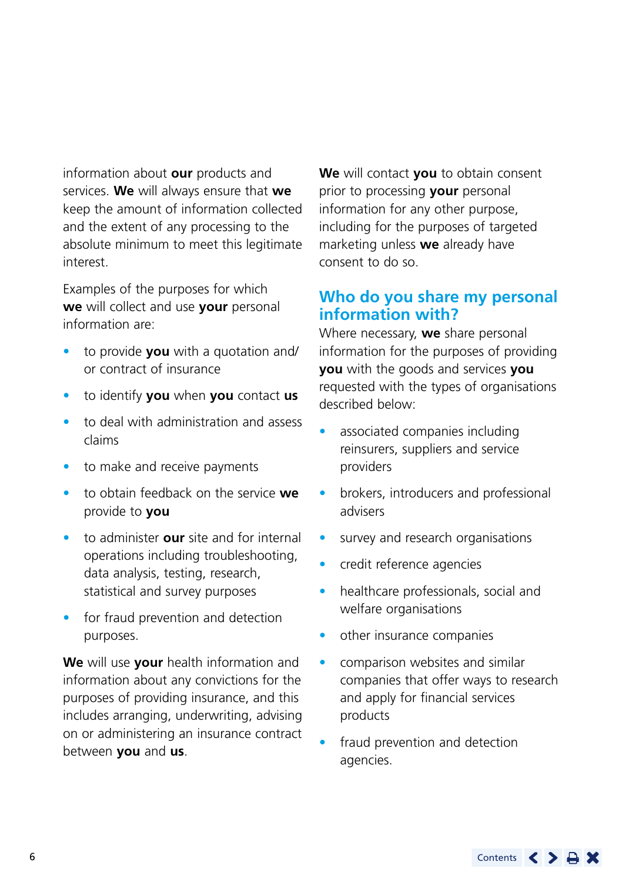information about **our** products and services. **We** will always ensure that **we** keep the amount of information collected and the extent of any processing to the absolute minimum to meet this legitimate interest.

Examples of the purposes for which **we** will collect and use **your** personal information are:

- to provide **you** with a quotation and/ or contract of insurance
- to identify **you** when **you** contact **us**
- to deal with administration and assess claims
- to make and receive payments
- to obtain feedback on the service **we** provide to **you**
- to administer **our** site and for internal operations including troubleshooting, data analysis, testing, research, statistical and survey purposes
- for fraud prevention and detection purposes.

**We** will use **your** health information and information about any convictions for the purposes of providing insurance, and this includes arranging, underwriting, advising on or administering an insurance contract between **you** and **us**.

**We** will contact **you** to obtain consent prior to processing **your** personal information for any other purpose, including for the purposes of targeted marketing unless **we** already have consent to do so.

#### **Who do you share my personal information with?**

Where necessary, **we** share personal information for the purposes of providing **you** with the goods and services **you** requested with the types of organisations described below:

- associated companies including reinsurers, suppliers and service providers
- brokers, introducers and professional advisers
- survey and research organisations
- credit reference agencies
- healthcare professionals, social and welfare organisations
- other insurance companies
- comparison websites and similar companies that offer ways to research and apply for financial services products
- fraud prevention and detection agencies.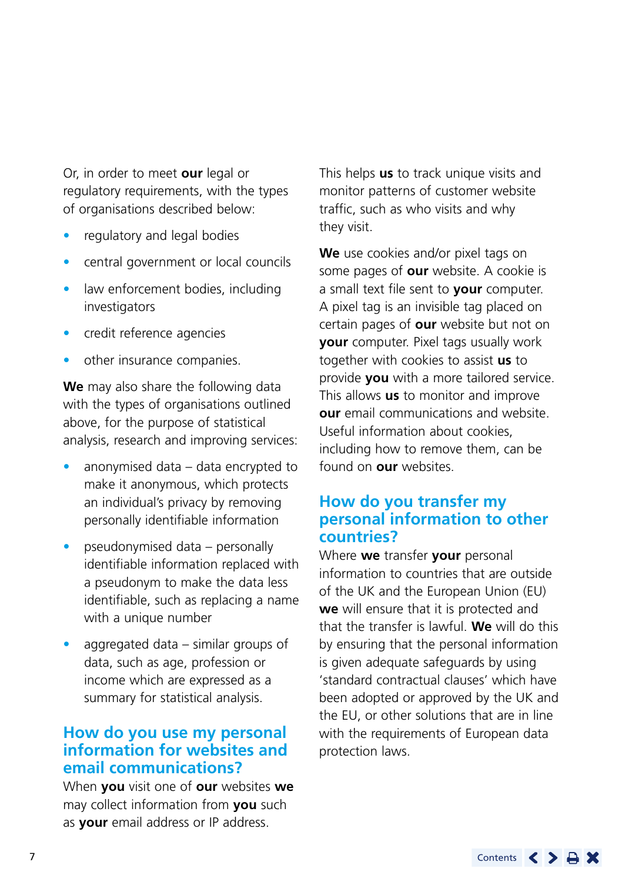Or, in order to meet **our** legal or regulatory requirements, with the types of organisations described below:

- regulatory and legal bodies
- central government or local councils
- law enforcement bodies, including investigators
- credit reference agencies
- other insurance companies.

**We** may also share the following data with the types of organisations outlined above, for the purpose of statistical analysis, research and improving services:

- anonymised data data encrypted to make it anonymous, which protects an individual's privacy by removing personally identifiable information
- pseudonymised data personally identifiable information replaced with a pseudonym to make the data less identifiable, such as replacing a name with a unique number
- aggregated data similar groups of data, such as age, profession or income which are expressed as a summary for statistical analysis.

#### **How do you use my personal information for websites and email communications?**

When **you** visit one of **our** websites **we** may collect information from **you** such as **your** email address or IP address.

This helps **us** to track unique visits and monitor patterns of customer website traffic, such as who visits and why they visit.

**We** use cookies and/or pixel tags on some pages of **our** website. A cookie is a small text file sent to **your** computer. A pixel tag is an invisible tag placed on certain pages of **our** website but not on **your** computer. Pixel tags usually work together with cookies to assist **us** to provide **you** with a more tailored service. This allows **us** to monitor and improve **our** email communications and website. Useful information about cookies, including how to remove them, can be found on **our** websites.

#### **How do you transfer my personal information to other countries?**

Where **we** transfer **your** personal information to countries that are outside of the UK and the European Union (EU) **we** will ensure that it is protected and that the transfer is lawful. **We** will do this by ensuring that the personal information is given adequate safeguards by using 'standard contractual clauses' which have been adopted or approved by the UK and the EU, or other solutions that are in line with the requirements of European data protection laws.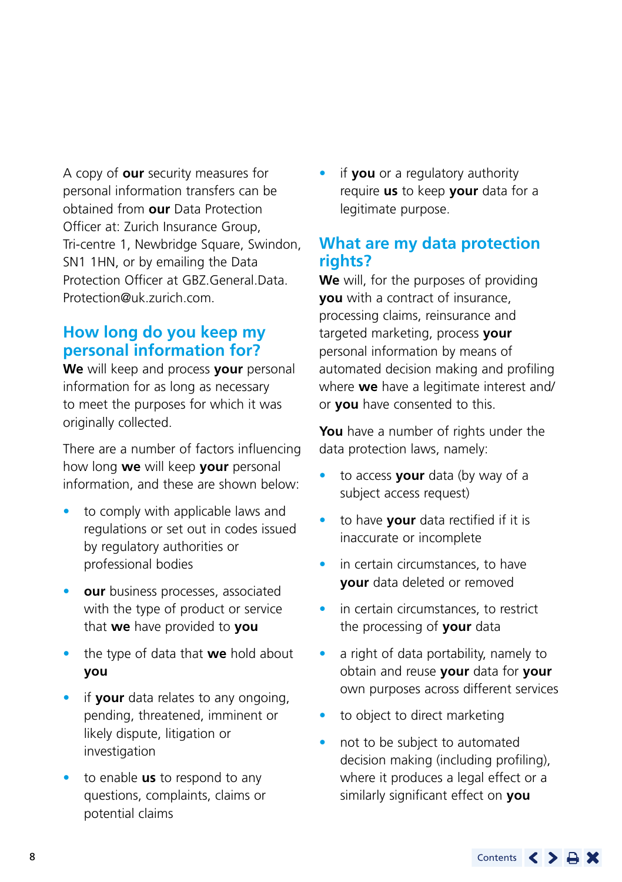A copy of **our** security measures for personal information transfers can be obtained from **our** Data Protection Officer at: Zurich Insurance Group, Tri-centre 1, Newbridge Square, Swindon, SN1 1HN, or by emailing the Data Protection Officer at [GBZ.General.Data.](mailto:GBZ.General.Data.Protection@uk.zurich.com) [Protection@uk.zurich.com.](mailto:GBZ.General.Data.Protection@uk.zurich.com)

### **How long do you keep my personal information for?**

**We** will keep and process **your** personal information for as long as necessary to meet the purposes for which it was originally collected.

There are a number of factors influencing how long **we** will keep **your** personal information, and these are shown below:

- to comply with applicable laws and regulations or set out in codes issued by regulatory authorities or professional bodies
- **our** business processes, associated with the type of product or service that **we** have provided to **you**
- the type of data that **we** hold about **you**
- if **your** data relates to any ongoing, pending, threatened, imminent or likely dispute, litigation or investigation
- to enable **us** to respond to any questions, complaints, claims or potential claims

• if **you** or a regulatory authority require **us** to keep **your** data for a legitimate purpose.

### **What are my data protection rights?**

**We** will, for the purposes of providing **you** with a contract of insurance, processing claims, reinsurance and targeted marketing, process **your** personal information by means of automated decision making and profiling where **we** have a legitimate interest and/ or **you** have consented to this.

**You** have a number of rights under the data protection laws, namely:

- to access **your** data (by way of a subject access request)
- to have **your** data rectified if it is inaccurate or incomplete
- in certain circumstances, to have **your** data deleted or removed
- in certain circumstances, to restrict the processing of **your** data
- a right of data portability, namely to obtain and reuse **your** data for **your** own purposes across different services
- to object to direct marketing
- not to be subject to automated decision making (including profiling), where it produces a legal effect or a similarly significant effect on **you**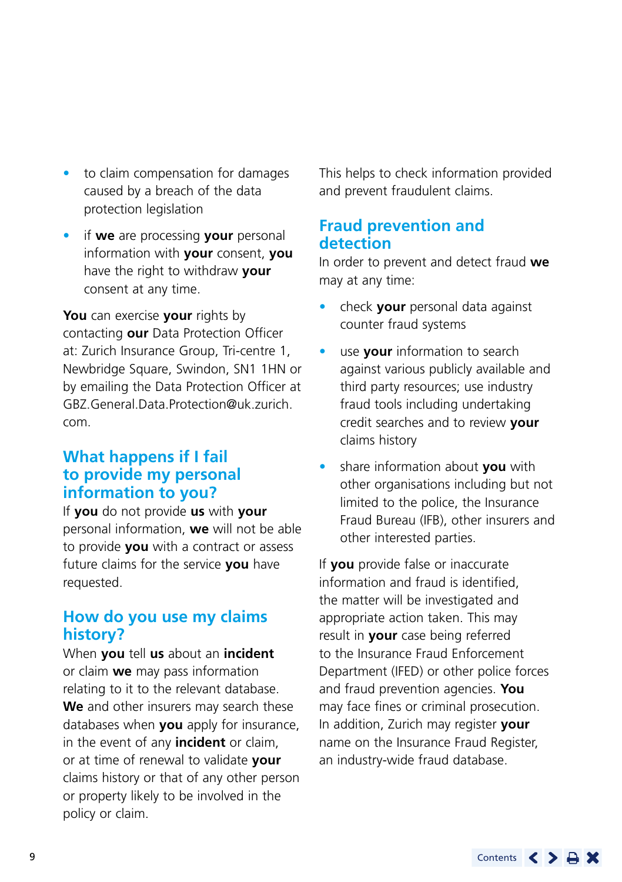- to claim compensation for damages caused by a breach of the data protection legislation
- if **we** are processing **your** personal information with **your** consent, **you** have the right to withdraw **your** consent at any time.

**You** can exercise **your** rights by contacting **our** Data Protection Officer at: Zurich Insurance Group, Tri-centre 1, Newbridge Square, Swindon, SN1 1HN or by emailing the Data Protection Officer at [GBZ.General.Data.Protection@uk.zurich.](mailto:GBZ.General.Data.Protection@uk.zurich.com) [com](mailto:GBZ.General.Data.Protection@uk.zurich.com).

### **What happens if I fail to provide my personal information to you?**

If **you** do not provide **us** with **your** personal information, **we** will not be able to provide **you** with a contract or assess future claims for the service **you** have requested.

#### **How do you use my claims history?**

When **you** tell **us** about an **incident** or claim **we** may pass information relating to it to the relevant database. **We** and other insurers may search these databases when **you** apply for insurance, in the event of any **incident** or claim, or at time of renewal to validate **your** claims history or that of any other person or property likely to be involved in the policy or claim.

This helps to check information provided and prevent fraudulent claims.

### **Fraud prevention and detection**

In order to prevent and detect fraud **we** may at any time:

- check **your** personal data against counter fraud systems
- use **your** information to search against various publicly available and third party resources; use industry fraud tools including undertaking credit searches and to review **your** claims history
- share information about **you** with other organisations including but not limited to the police, the Insurance Fraud Bureau (IFB), other insurers and other interested parties.

If **you** provide false or inaccurate information and fraud is identified, the matter will be investigated and appropriate action taken. This may result in **your** case being referred to the Insurance Fraud Enforcement Department (IFED) or other police forces and fraud prevention agencies. **You** may face fines or criminal prosecution. In addition, Zurich may register **your** name on the Insurance Fraud Register an industry-wide fraud database.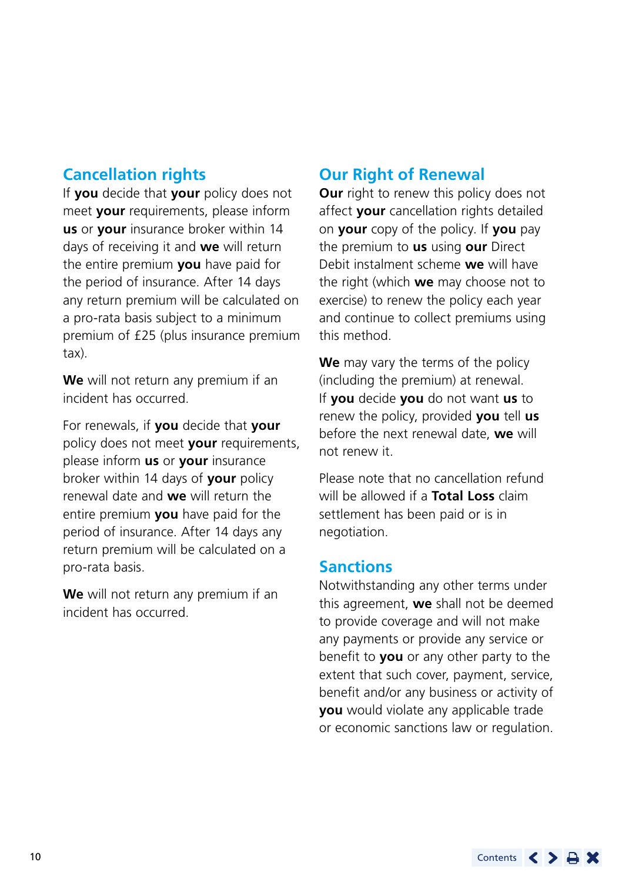## **Cancellation rights**

If **you** decide that **your** policy does not meet **your** requirements, please inform **us** or **your** insurance broker within 14 days of receiving it and **we** will return the entire premium **you** have paid for the period of insurance. After 14 days any return premium will be calculated on a pro-rata basis subject to a minimum premium of £25 (plus insurance premium tax).

**We** will not return any premium if an incident has occurred.

For renewals, if **you** decide that **your** policy does not meet **your** requirements, please inform **us** or **your** insurance broker within 14 days of **your** policy renewal date and **we** will return the entire premium **you** have paid for the period of insurance. After 14 days any return premium will be calculated on a pro-rata basis.

**We** will not return any premium if an incident has occurred.

## **Our Right of Renewal**

**Our** right to renew this policy does not affect **your** cancellation rights detailed on **your** copy of the policy. If **you** pay the premium to **us** using **our** Direct Debit instalment scheme **we** will have the right (which **we** may choose not to exercise) to renew the policy each year and continue to collect premiums using this method.

**We** may vary the terms of the policy (including the premium) at renewal. If **you** decide **you** do not want **us** to renew the policy, provided **you** tell **us** before the next renewal date, **we** will not renew it.

Please note that no cancellation refund will be allowed if a **Total Loss** claim settlement has been paid or is in negotiation.

#### **Sanctions**

Notwithstanding any other terms under this agreement, **we** shall not be deemed to provide coverage and will not make any payments or provide any service or benefit to **you** or any other party to the extent that such cover, payment, service, benefit and/or any business or activity of **you** would violate any applicable trade or economic sanctions law or regulation.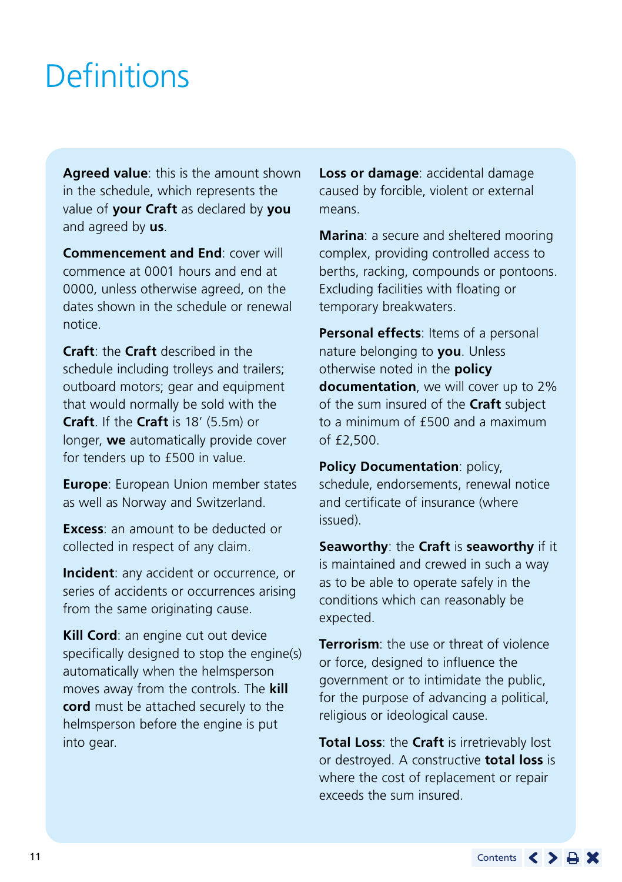## <span id="page-10-0"></span>**Definitions**

**Agreed value**: this is the amount shown in the schedule, which represents the value of **your Craft** as declared by **you** and agreed by **us**.

**Commencement and End**: cover will commence at 0001 hours and end at 0000, unless otherwise agreed, on the dates shown in the schedule or renewal notice.

**Craft**: the **Craft** described in the schedule including trolleys and trailers; outboard motors; gear and equipment that would normally be sold with the **Craft**. If the **Craft** is 18' (5.5m) or longer, **we** automatically provide cover for tenders up to £500 in value.

**Europe**: European Union member states as well as Norway and Switzerland.

**Excess**: an amount to be deducted or collected in respect of any claim.

**Incident**: any accident or occurrence, or series of accidents or occurrences arising from the same originating cause.

**Kill Cord:** an engine cut out device specifically designed to stop the engine(s) automatically when the helmsperson moves away from the controls. The **kill cord** must be attached securely to the helmsperson before the engine is put into gear.

**Loss or damage**: accidental damage caused by forcible, violent or external means.

**Marina**: a secure and sheltered mooring complex, providing controlled access to berths, racking, compounds or pontoons. Excluding facilities with floating or temporary breakwaters.

**Personal effects**: Items of a personal nature belonging to **you**. Unless otherwise noted in the **policy documentation**, we will cover up to 2% of the sum insured of the **Craft** subject to a minimum of £500 and a maximum of £2,500.

**Policy Documentation: policy.** schedule, endorsements, renewal notice and certificate of insurance (where issued).

**Seaworthy**: the **Craft** is **seaworthy** if it is maintained and crewed in such a way as to be able to operate safely in the conditions which can reasonably be expected.

**Terrorism**: the use or threat of violence or force, designed to influence the government or to intimidate the public, for the purpose of advancing a political, religious or ideological cause.

**Total Loss**: the **Craft** is irretrievably lost or destroyed. A constructive **total loss** is where the cost of replacement or repair exceeds the sum insured.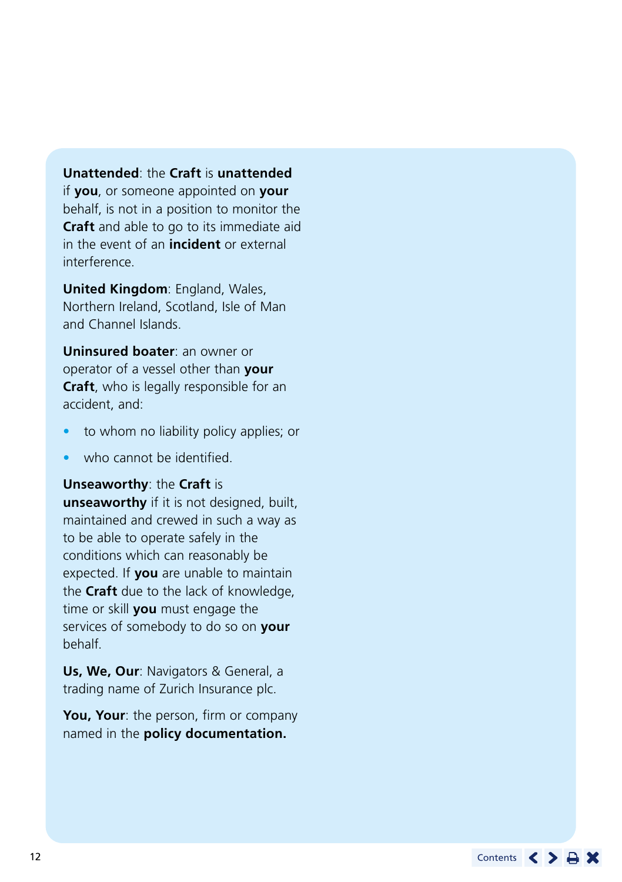**Unattended**: the **Craft** is **unattended** if **you**, or someone appointed on **your** behalf, is not in a position to monitor the **Craft** and able to go to its immediate aid in the event of an **incident** or external interference.

**United Kingdom**: England, Wales, Northern Ireland, Scotland, Isle of Man and Channel Islands.

**Uninsured boater**: an owner or operator of a vessel other than **your Craft**, who is legally responsible for an accident, and:

- to whom no liability policy applies; or
- who cannot be identified.

#### **Unseaworthy**: the **Craft** is

**unseaworthy** if it is not designed, built, maintained and crewed in such a way as to be able to operate safely in the conditions which can reasonably be expected. If **you** are unable to maintain the **Craft** due to the lack of knowledge, time or skill **you** must engage the services of somebody to do so on **your** behalf.

**Us, We, Our**: Navigators & General, a trading name of Zurich Insurance plc.

**You, Your**: the person, firm or company named in the **policy documentation.**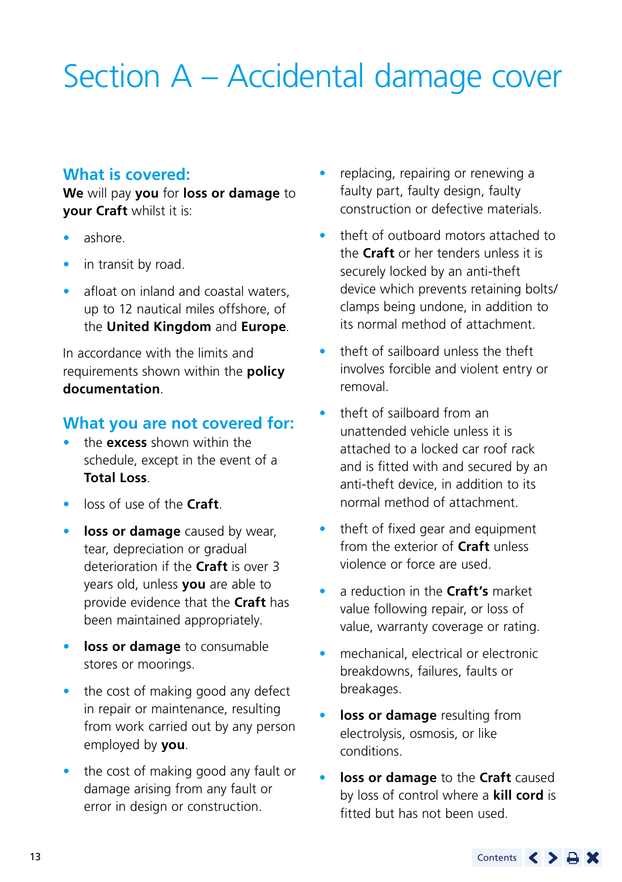## <span id="page-12-0"></span>Section A – Accidental damage cover

### **What is covered:**

**We** will pay **you** for **loss or damage** to **your Craft** whilst it is:

- ashore.
- in transit by road.
- afloat on inland and coastal waters up to 12 nautical miles offshore, of the **United Kingdom** and **Europe**.

In accordance with the limits and requirements shown within the **policy documentation**.

### **What you are not covered for:**

- the **excess** shown within the schedule, except in the event of a **Total Loss**.
- loss of use of the **Craft**.
- **loss or damage** caused by wear, tear, depreciation or gradual deterioration if the **Craft** is over 3 years old, unless **you** are able to provide evidence that the **Craft** has been maintained appropriately.
- **loss or damage** to consumable stores or moorings.
- the cost of making good any defect in repair or maintenance, resulting from work carried out by any person employed by **you**.
- the cost of making good any fault or damage arising from any fault or error in design or construction.
- replacing, repairing or renewing a faulty part, faulty design, faulty construction or defective materials.
- theft of outboard motors attached to the **Craft** or her tenders unless it is securely locked by an anti-theft device which prevents retaining bolts/ clamps being undone, in addition to its normal method of attachment.
- theft of sailboard unless the theft involves forcible and violent entry or removal.
- theft of sailboard from an unattended vehicle unless it is attached to a locked car roof rack and is fitted with and secured by an anti-theft device, in addition to its normal method of attachment.
- theft of fixed gear and equipment from the exterior of **Craft** unless violence or force are used.
- a reduction in the **Craft's** market value following repair, or loss of value, warranty coverage or rating.
- mechanical, electrical or electronic breakdowns, failures, faults or breakages.
- **loss or damage** resulting from electrolysis, osmosis, or like conditions.
- **loss or damage** to the **Craft** caused by loss of control where a **kill cord** is fitted but has not been used.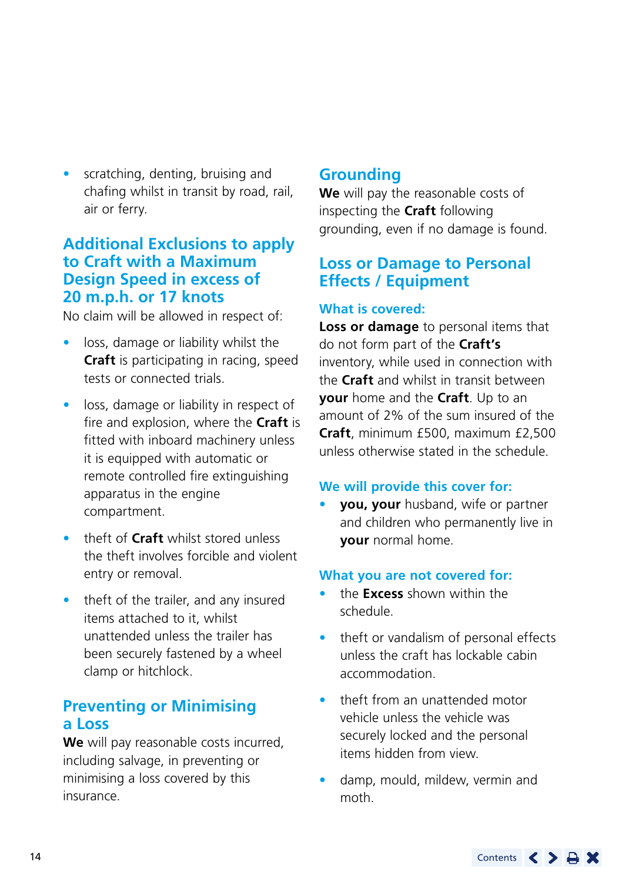• scratching, denting, bruising and chafing whilst in transit by road, rail, air or ferry.

#### **Additional Exclusions to apply to Craft with a Maximum Design Speed in excess of 20 m.p.h. or 17 knots**

No claim will be allowed in respect of:

- loss, damage or liability whilst the **Craft** is participating in racing, speed tests or connected trials.
- loss, damage or liability in respect of fire and explosion, where the **Craft** is fitted with inboard machinery unless it is equipped with automatic or remote controlled fire extinguishing apparatus in the engine compartment.
- theft of **Craft** whilst stored unless the theft involves forcible and violent entry or removal.
- theft of the trailer, and any insured items attached to it, whilst unattended unless the trailer has been securely fastened by a wheel clamp or hitchlock.

### **Preventing or Minimising a Loss**

**We** will pay reasonable costs incurred, including salvage, in preventing or minimising a loss covered by this insurance.

## **Grounding**

**We** will pay the reasonable costs of inspecting the **Craft** following grounding, even if no damage is found.

## **Loss or Damage to Personal Effects / Equipment**

#### **What is covered:**

**Loss or damage** to personal items that do not form part of the **Craft's** inventory, while used in connection with the **Craft** and whilst in transit between **your** home and the **Craft**. Up to an amount of 2% of the sum insured of the **Craft**, minimum £500, maximum £2,500 unless otherwise stated in the schedule.

#### **We will provide this cover for:**

• **you, your** husband, wife or partner and children who permanently live in **your** normal home.

#### **What you are not covered for:**

- the **Excess** shown within the schedule.
- theft or vandalism of personal effects unless the craft has lockable cabin accommodation.
- theft from an unattended motor vehicle unless the vehicle was securely locked and the personal items hidden from view.
- damp, mould, mildew, vermin and moth.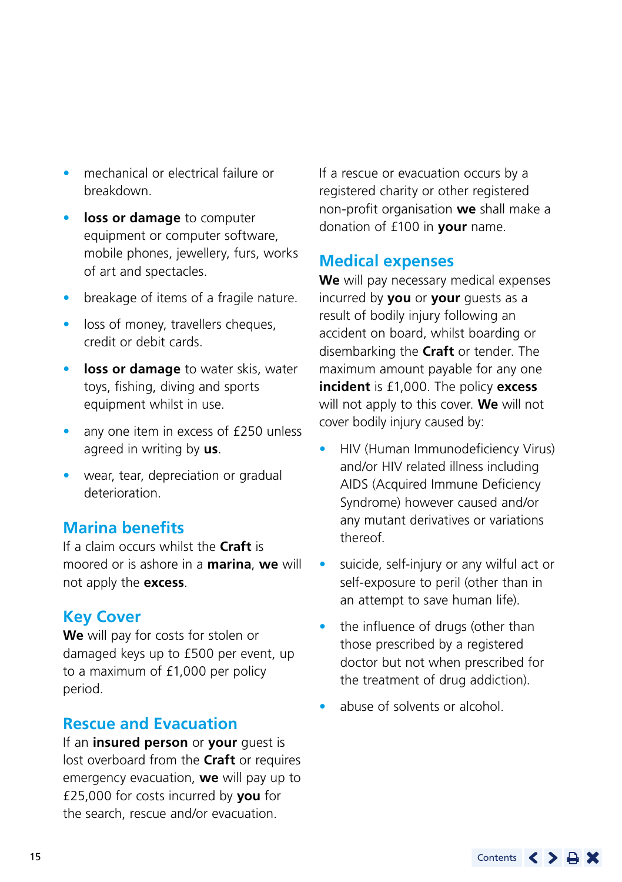- mechanical or electrical failure or breakdown.
- **loss or damage** to computer equipment or computer software, mobile phones, jewellery, furs, works of art and spectacles.
- breakage of items of a fragile nature.
- loss of money, travellers cheques, credit or debit cards.
- **loss or damage** to water skis, water toys, fishing, diving and sports equipment whilst in use.
- any one item in excess of £250 unless agreed in writing by **us**.
- wear, tear, depreciation or gradual deterioration.

### **Marina benefits**

If a claim occurs whilst the **Craft** is moored or is ashore in a **marina**, **we** will not apply the **excess**.

#### **Key Cover**

**We** will pay for costs for stolen or damaged keys up to £500 per event, up to a maximum of £1,000 per policy period.

#### **Rescue and Evacuation**

If an **insured person** or **your** guest is lost overboard from the **Craft** or requires emergency evacuation, **we** will pay up to £25,000 for costs incurred by **you** for the search, rescue and/or evacuation.

If a rescue or evacuation occurs by a registered charity or other registered non-profit organisation **we** shall make a donation of £100 in **your** name.

### **Medical expenses**

**We** will pay necessary medical expenses incurred by **you** or **your** guests as a result of bodily injury following an accident on board, whilst boarding or disembarking the **Craft** or tender. The maximum amount payable for any one **incident** is £1,000. The policy **excess** will not apply to this cover. **We** will not cover bodily injury caused by:

- HIV (Human Immunodeficiency Virus) and/or HIV related illness including AIDS (Acquired Immune Deficiency Syndrome) however caused and/or any mutant derivatives or variations thereof.
- suicide, self-injury or any wilful act or self-exposure to peril (other than in an attempt to save human life).
- the influence of drugs (other than those prescribed by a registered doctor but not when prescribed for the treatment of drug addiction).
- abuse of solvents or alcohol.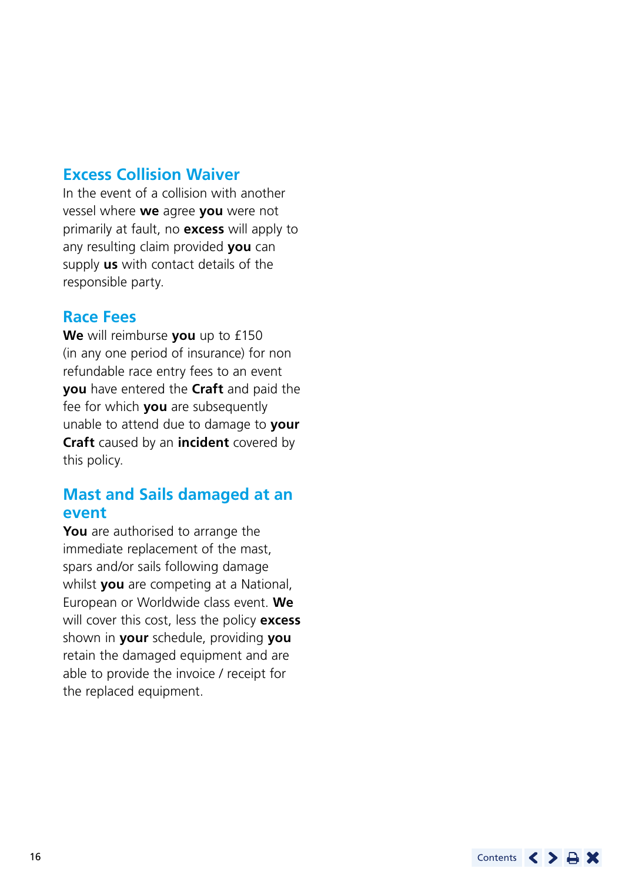## **Excess Collision Waiver**

In the event of a collision with another vessel where **we** agree **you** were not primarily at fault, no **excess** will apply to any resulting claim provided **you** can supply **us** with contact details of the responsible party.

#### **Race Fees**

**We** will reimburse **you** up to £150 (in any one period of insurance) for non refundable race entry fees to an event **you** have entered the **Craft** and paid the fee for which **you** are subsequently unable to attend due to damage to **your Craft** caused by an **incident** covered by this policy.

#### **Mast and Sails damaged at an event**

**You** are authorised to arrange the immediate replacement of the mast, spars and/or sails following damage whilst **you** are competing at a National, European or Worldwide class event. **We** will cover this cost, less the policy **excess** shown in **your** schedule, providing **you** retain the damaged equipment and are able to provide the invoice / receipt for the replaced equipment.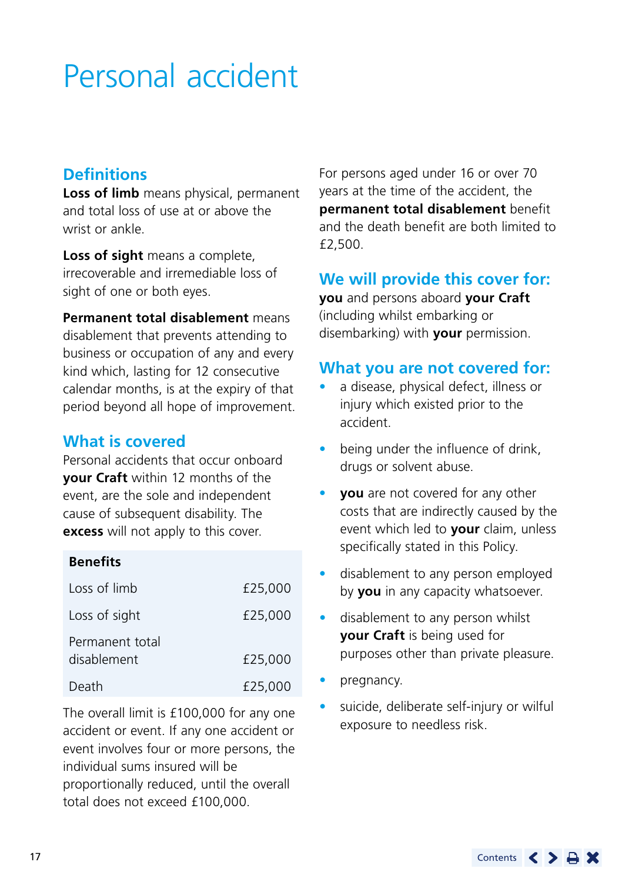## <span id="page-16-0"></span>Personal accident

## **Definitions**

**Loss of limb** means physical, permanent and total loss of use at or above the wrist or ankle.

**Loss of sight** means a complete, irrecoverable and irremediable loss of sight of one or both eyes.

**Permanent total disablement** means disablement that prevents attending to business or occupation of any and every kind which, lasting for 12 consecutive calendar months, is at the expiry of that period beyond all hope of improvement.

#### **What is covered**

Personal accidents that occur onboard **your Craft** within 12 months of the event, are the sole and independent cause of subsequent disability. The **excess** will not apply to this cover.

#### **Benefits**

| Loss of limb                   | £25,000 |
|--------------------------------|---------|
| Loss of sight                  | £25,000 |
| Permanent total<br>disablement | £25.000 |
| Death                          | £25,000 |

The overall limit is £100,000 for any one accident or event. If any one accident or event involves four or more persons, the individual sums insured will be proportionally reduced, until the overall total does not exceed £100,000.

For persons aged under 16 or over 70 years at the time of the accident, the **permanent total disablement** benefit and the death benefit are both limited to £2,500.

### **We will provide this cover for:**

**you** and persons aboard **your Craft** (including whilst embarking or disembarking) with **your** permission.

#### **What you are not covered for:**

- a disease, physical defect, illness or injury which existed prior to the accident.
- being under the influence of drink. drugs or solvent abuse.
- **vou** are not covered for any other costs that are indirectly caused by the event which led to **your** claim, unless specifically stated in this Policy.
- disablement to any person employed by **you** in any capacity whatsoever.
- disablement to any person whilst **your Craft** is being used for purposes other than private pleasure.
- pregnancy.
- suicide, deliberate self-injury or wilful exposure to needless risk.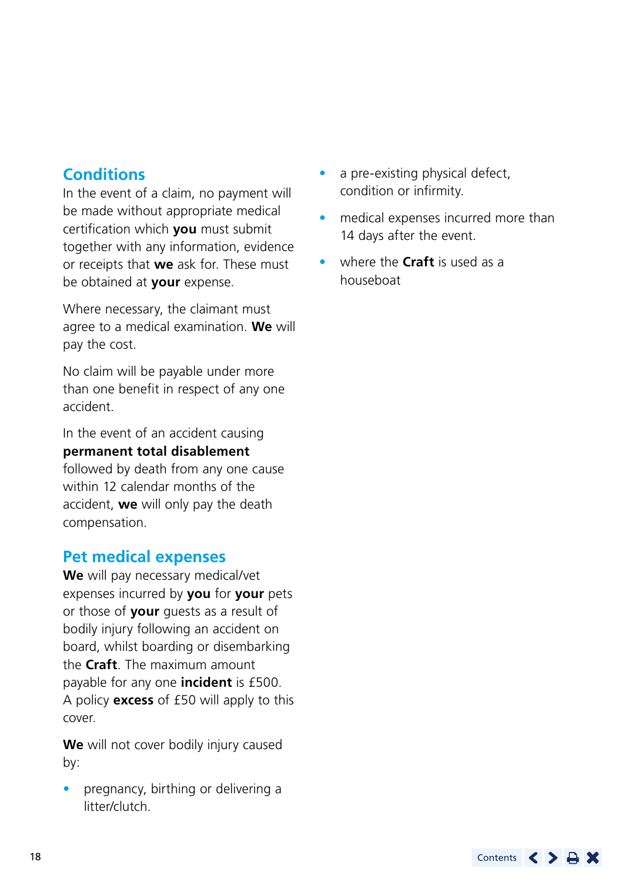## **Conditions**

In the event of a claim, no payment will be made without appropriate medical certification which **you** must submit together with any information, evidence or receipts that **we** ask for. These must be obtained at **your** expense.

Where necessary, the claimant must agree to a medical examination. **We** will pay the cost.

No claim will be payable under more than one benefit in respect of any one accident.

In the event of an accident causing **permanent total disablement** followed by death from any one cause within 12 calendar months of the accident, **we** will only pay the death

### **Pet medical expenses**

compensation.

**We** will pay necessary medical/vet expenses incurred by **you** for **your** pets or those of **your** guests as a result of bodily injury following an accident on board, whilst boarding or disembarking the **Craft**. The maximum amount payable for any one **incident** is £500. A policy **excess** of £50 will apply to this cover.

**We** will not cover bodily injury caused by:

• pregnancy, birthing or delivering a litter/clutch.

- a pre-existing physical defect, condition or infirmity.
- medical expenses incurred more than 14 days after the event.
- where the **Craft** is used as a houseboat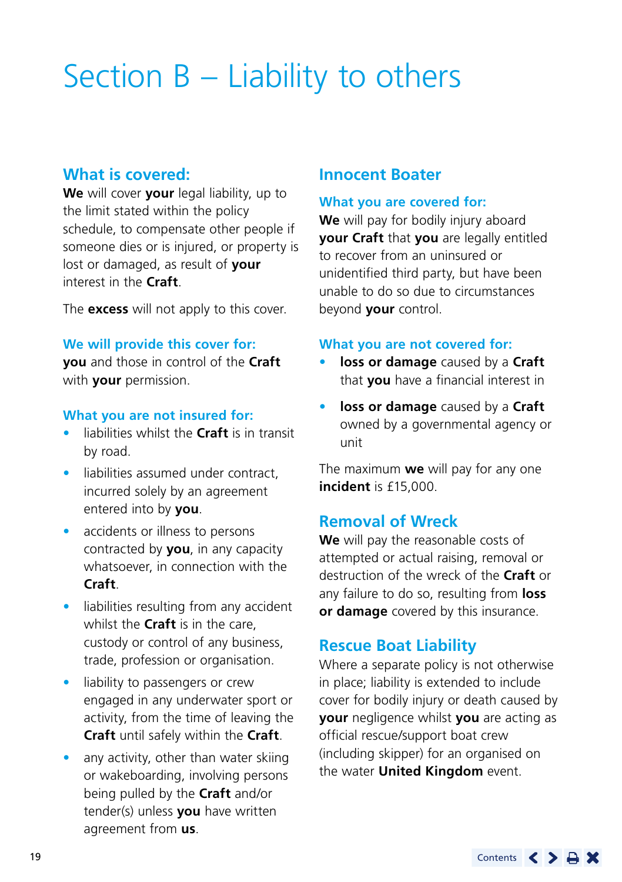## <span id="page-18-0"></span>Section B – Liability to others

#### **What is covered:**

**We** will cover **your** legal liability, up to the limit stated within the policy schedule, to compensate other people if someone dies or is injured, or property is lost or damaged, as result of **your** interest in the **Craft**.

The **excess** will not apply to this cover.

#### **We will provide this cover for:**

**you** and those in control of the **Craft** with **your** permission.

#### **What you are not insured for:**

- liabilities whilst the **Craft** is in transit by road.
- liabilities assumed under contract incurred solely by an agreement entered into by **you**.
- accidents or illness to persons contracted by **you**, in any capacity whatsoever, in connection with the **Craft**.
- liabilities resulting from any accident whilst the **Craft** is in the care, custody or control of any business, trade, profession or organisation.
- liability to passengers or crew engaged in any underwater sport or activity, from the time of leaving the **Craft** until safely within the **Craft**.
- any activity, other than water skiing or wakeboarding, involving persons being pulled by the **Craft** and/or tender(s) unless **you** have written agreement from **us**.

#### **Innocent Boater**

#### **What you are covered for:**

**We** will pay for bodily injury aboard **your Craft** that **you** are legally entitled to recover from an uninsured or unidentified third party, but have been unable to do so due to circumstances beyond **your** control.

#### **What you are not covered for:**

- **loss or damage** caused by a **Craft** that **you** have a financial interest in
- **loss or damage** caused by a **Craft** owned by a governmental agency or unit

The maximum **we** will pay for any one **incident** is £15,000.

#### **Removal of Wreck**

**We** will pay the reasonable costs of attempted or actual raising, removal or destruction of the wreck of the **Craft** or any failure to do so, resulting from **loss or damage** covered by this insurance.

#### **Rescue Boat Liability**

Where a separate policy is not otherwise in place; liability is extended to include cover for bodily injury or death caused by **your** negligence whilst **you** are acting as official rescue/support boat crew (including skipper) for an organised on the water **United Kingdom** event.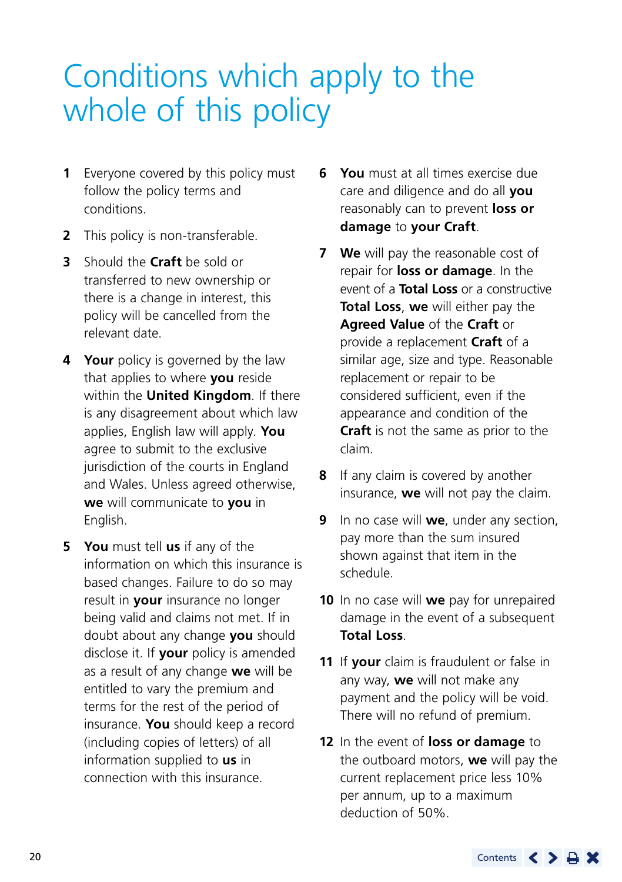## <span id="page-19-0"></span>Conditions which apply to the whole of this policy

- **1** Everyone covered by this policy must follow the policy terms and conditions.
- **2** This policy is non-transferable.
- **3** Should the **Craft** be sold or transferred to new ownership or there is a change in interest, this policy will be cancelled from the relevant date.
- **4 Your** policy is governed by the law that applies to where **you** reside within the **United Kingdom**. If there is any disagreement about which law applies, English law will apply. **You** agree to submit to the exclusive jurisdiction of the courts in England and Wales. Unless agreed otherwise, **we** will communicate to **you** in English.
- **5 You** must tell **us** if any of the information on which this insurance is based changes. Failure to do so may result in **your** insurance no longer being valid and claims not met. If in doubt about any change **you** should disclose it. If **your** policy is amended as a result of any change **we** will be entitled to vary the premium and terms for the rest of the period of insurance. **You** should keep a record (including copies of letters) of all information supplied to **us** in connection with this insurance.
- **6 You** must at all times exercise due care and diligence and do all **you** reasonably can to prevent **loss or damage** to **your Craft**.
- **7 We** will pay the reasonable cost of repair for **loss or damage**. In the event of a **Total Loss** or a constructive **Total Loss**, **we** will either pay the **Agreed Value** of the **Craft** or provide a replacement **Craft** of a similar age, size and type. Reasonable replacement or repair to be considered sufficient, even if the appearance and condition of the **Craft** is not the same as prior to the claim.
- **8** If any claim is covered by another insurance, **we** will not pay the claim.
- **9** In no case will **we**, under any section, pay more than the sum insured shown against that item in the schedule.
- **10** In no case will **we** pay for unrepaired damage in the event of a subsequent **Total Loss**.
- **11** If **your** claim is fraudulent or false in any way, **we** will not make any payment and the policy will be void. There will no refund of premium.
- **12** In the event of **loss or damage** to the outboard motors, **we** will pay the current replacement price less 10% per annum, up to a maximum deduction of 50%.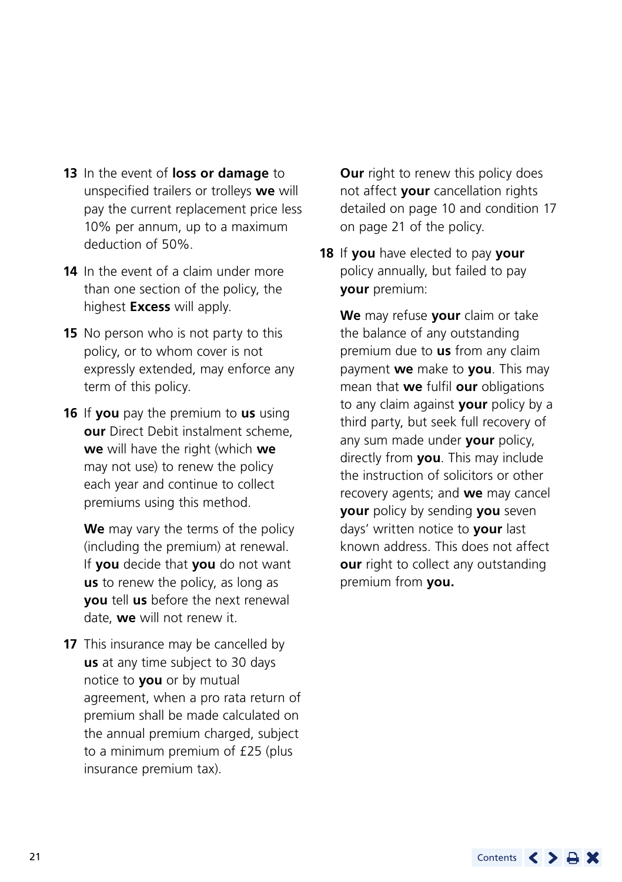- **13** In the event of **loss or damage** to unspecified trailers or trolleys **we** will pay the current replacement price less 10% per annum, up to a maximum deduction of 50%.
- **14** In the event of a claim under more than one section of the policy, the highest **Excess** will apply.
- **15** No person who is not party to this policy, or to whom cover is not expressly extended, may enforce any term of this policy.
- **16** If **you** pay the premium to **us** using **our** Direct Debit instalment scheme, **we** will have the right (which **we** may not use) to renew the policy each year and continue to collect premiums using this method.

**We** may vary the terms of the policy (including the premium) at renewal. If **you** decide that **you** do not want **us** to renew the policy, as long as **you** tell **us** before the next renewal date, **we** will not renew it.

**17** This insurance may be cancelled by **us** at any time subject to 30 days notice to **you** or by mutual agreement, when a pro rata return of premium shall be made calculated on the annual premium charged, subject to a minimum premium of £25 (plus insurance premium tax).

**Our** right to renew this policy does not affect **your** cancellation rights detailed on page 10 and condition 17 on page 21 of the policy.

**18** If **you** have elected to pay **your** policy annually, but failed to pay **your** premium:

**We** may refuse **your** claim or take the balance of any outstanding premium due to **us** from any claim payment **we** make to **you**. This may mean that **we** fulfil **our** obligations to any claim against **your** policy by a third party, but seek full recovery of any sum made under **your** policy, directly from **you**. This may include the instruction of solicitors or other recovery agents; and **we** may cancel **your** policy by sending **you** seven days' written notice to **your** last known address. This does not affect **our** right to collect any outstanding premium from **you.**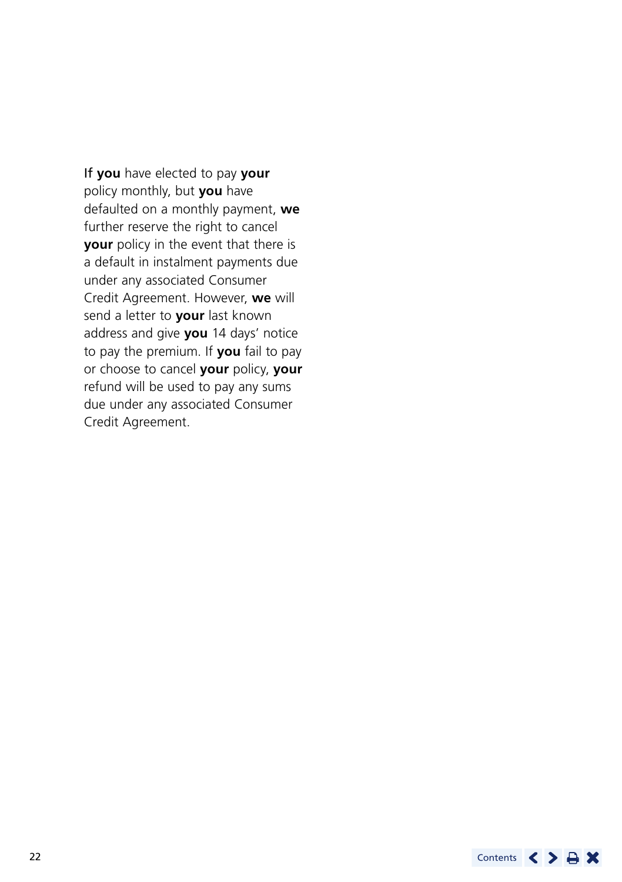If **you** have elected to pay **your** policy monthly, but **you** have defaulted on a monthly payment, **we** further reserve the right to cancel **your** policy in the event that there is a default in instalment payments due under any associated Consumer Credit Agreement. However, **we** will send a letter to **your** last known address and give **you** 14 days' notice to pay the premium. If **you** fail to pay or choose to cancel **your** policy, **your** refund will be used to pay any sums due under any associated Consumer Credit Agreement.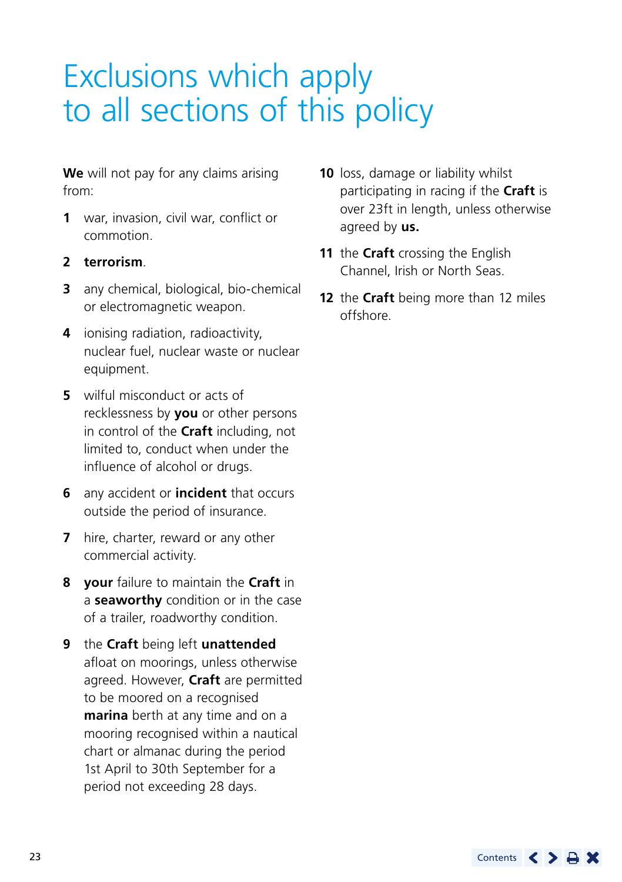## <span id="page-22-0"></span>Exclusions which apply to all sections of this policy

**We** will not pay for any claims arising from:

**1** war, invasion, civil war, conflict or commotion.

#### **2 terrorism**.

- **3** any chemical, biological, bio-chemical or electromagnetic weapon.
- **4** ionising radiation, radioactivity, nuclear fuel, nuclear waste or nuclear equipment.
- **5** wilful misconduct or acts of recklessness by **you** or other persons in control of the **Craft** including, not limited to, conduct when under the influence of alcohol or drugs.
- **6** any accident or **incident** that occurs outside the period of insurance.
- **7** hire, charter, reward or any other commercial activity.
- **8 your** failure to maintain the **Craft** in a **seaworthy** condition or in the case of a trailer, roadworthy condition.
- **9** the **Craft** being left **unattended** afloat on moorings, unless otherwise agreed. However, **Craft** are permitted to be moored on a recognised **marina** berth at any time and on a mooring recognised within a nautical chart or almanac during the period 1st April to 30th September for a period not exceeding 28 days.
- **10** loss, damage or liability whilst participating in racing if the **Craft** is over 23ft in length, unless otherwise agreed by **us.**
- **11** the **Craft** crossing the English Channel, Irish or North Seas.
- **12** the **Craft** being more than 12 miles offshore.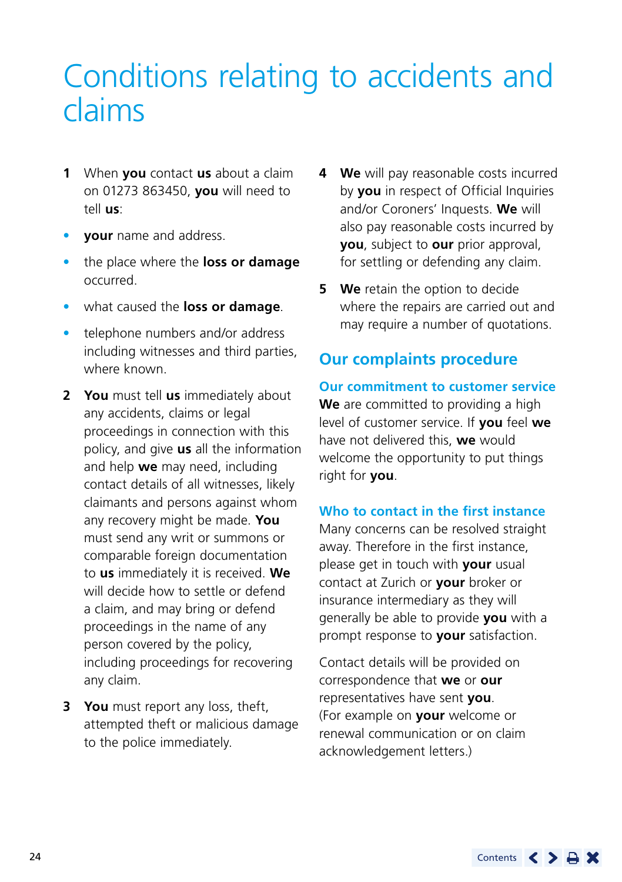## <span id="page-23-0"></span>Conditions relating to accidents and claims

- **1** When **you** contact **us** about a claim on 01273 863450, **you** will need to tell **us**:
- **your** name and address.
- the place where the **loss or damage** occurred.
- what caused the **loss or damage**.
- telephone numbers and/or address including witnesses and third parties, where known.
- **2 You** must tell **us** immediately about any accidents, claims or legal proceedings in connection with this policy, and give **us** all the information and help **we** may need, including contact details of all witnesses, likely claimants and persons against whom any recovery might be made. **You** must send any writ or summons or comparable foreign documentation to **us** immediately it is received. **We** will decide how to settle or defend a claim, and may bring or defend proceedings in the name of any person covered by the policy, including proceedings for recovering any claim.
- **3 You** must report any loss, theft, attempted theft or malicious damage to the police immediately.
- **4 We** will pay reasonable costs incurred by **you** in respect of Official Inquiries and/or Coroners' Inquests. **We** will also pay reasonable costs incurred by **you**, subject to **our** prior approval, for settling or defending any claim.
- **5 We** retain the option to decide where the repairs are carried out and may require a number of quotations.

## **Our complaints procedure**

**Our commitment to customer service We** are committed to providing a high level of customer service. If **you** feel **we** have not delivered this, **we** would welcome the opportunity to put things right for **you**.

#### **Who to contact in the first instance**

Many concerns can be resolved straight away. Therefore in the first instance, please get in touch with **your** usual contact at Zurich or **your** broker or insurance intermediary as they will generally be able to provide **you** with a prompt response to **your** satisfaction.

Contact details will be provided on correspondence that **we** or **our** representatives have sent **you**. (For example on **your** welcome or renewal communication or on claim acknowledgement letters.)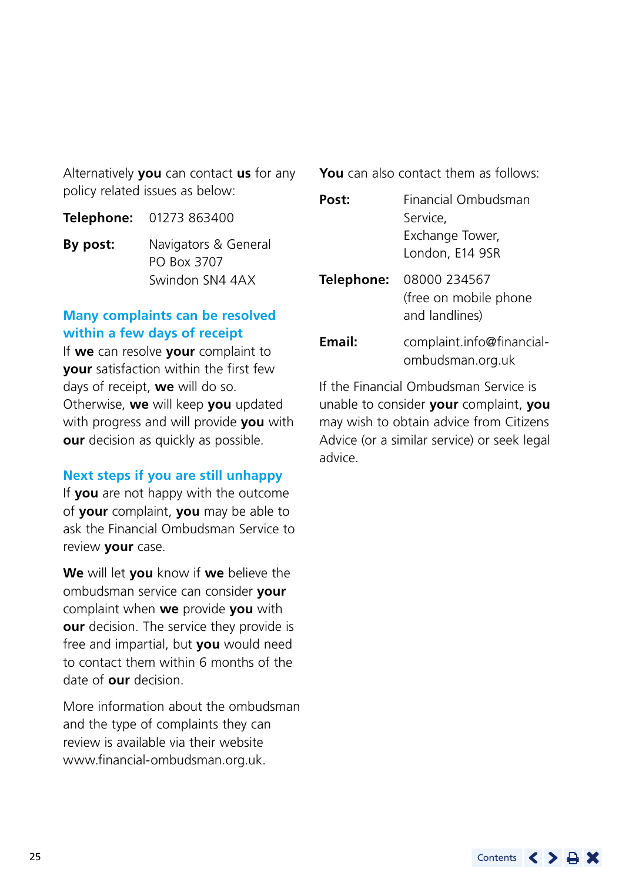Alternatively **you** can contact **us** for any policy related issues as below:

**Telephone:** 01273 863400

**By post:** Navigators & General PO Box 3707 Swindon SN4 4AX

#### **Many complaints can be resolved within a few days of receipt**

If **we** can resolve **your** complaint to **your** satisfaction within the first few days of receipt, **we** will do so. Otherwise, **we** will keep **you** updated with progress and will provide **you** with **our** decision as quickly as possible.

#### **Next steps if you are still unhappy**

If **you** are not happy with the outcome of **your** complaint, **you** may be able to ask the Financial Ombudsman Service to review **your** case.

**We** will let **you** know if **we** believe the ombudsman service can consider **your** complaint when **we** provide **you** with **our** decision. The service they provide is free and impartial, but **you** would need to contact them within 6 months of the date of **our** decision.

More information about the ombudsman and the type of complaints they can review is available via their website [www.financial-ombudsman.org.uk](http://www.financial-ombudsman.org.uk).

**You** can also contact them as follows:

| Post:      | Financial Ombudsman<br>Service.<br>Exchange Tower,<br>London, E14 9SR |
|------------|-----------------------------------------------------------------------|
| Telephone: | 08000 234567<br>(free on mobile phone<br>and landlines)               |
| Email:     | complaint.info@financial-<br>ombudsman.org.uk                         |

If the Financial Ombudsman Service is unable to consider **your** complaint, **you** may wish to obtain advice from Citizens Advice (or a similar service) or seek legal advice.